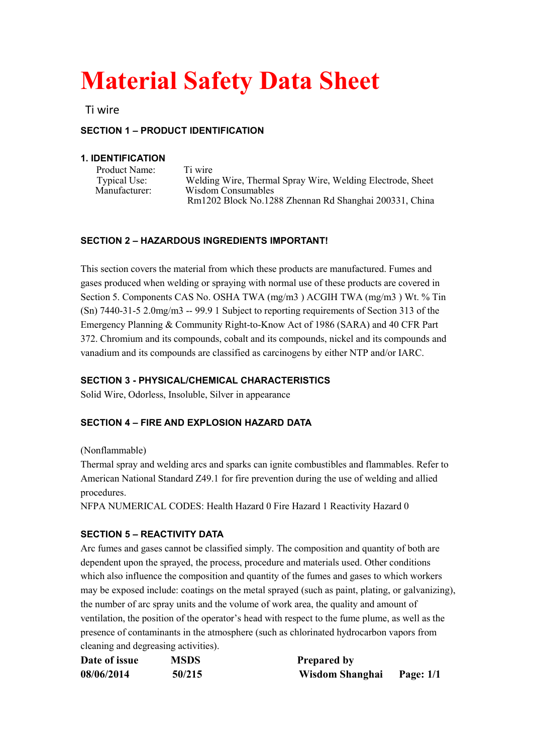# **Material Safety Data Sheet**

Ti wire

# **SECTION 1 – PRODUCT IDENTIFICATION**

#### **1. IDENTIFICATION**

| Product Name:<br><b>Typical Use:</b><br>Manufacturer: | Ti wire<br>Welding Wire, Thermal Spray Wire, Welding Electrode, Sheet        |
|-------------------------------------------------------|------------------------------------------------------------------------------|
|                                                       | Wisdom Consumables<br>Rm1202 Block No.1288 Zhennan Rd Shanghai 200331, China |

## **SECTION 2 – HAZARDOUS INGREDIENTS IMPORTANT!**

This section covers the material from which these products are manufactured. Fumes and gases produced when welding or spraying with normal use of these products are covered in Section 5. Components CAS No. OSHA TWA (mg/m3 ) ACGIH TWA (mg/m3 ) Wt. % Tin  $(Sn)$  7440-31-5 2.0mg/m3 -- 99.9 1 Subject to reporting requirements of Section 313 of the Emergency Planning & Community Right-to-Know Act of 1986 (SARA) and 40 CFR Part 372. Chromium and its compounds, cobalt and its compounds, nickel and its compounds and vanadium and its compounds are classified as carcinogens by either NTP and/or IARC.

# **SECTION 3 - PHYSICAL/CHEMICAL CHARACTERISTICS**

Solid Wire, Odorless, Insoluble, Silver in appearance

## **SECTION 4 – FIRE AND EXPLOSION HAZARD DATA**

#### (Nonflammable)

Thermal spray and welding arcs and sparks can ignite combustibles and flammables. Refer to American National Standard Z49.1 for fire prevention during the use of welding and allied procedures.

NFPA NUMERICAL CODES: Health Hazard 0 Fire Hazard 1 Reactivity Hazard 0

## **SECTION 5 – REACTIVITY DATA**

Arc fumes and gases cannot be classified simply. The composition and quantity of both are dependent upon the sprayed, the process, procedure and materials used. Other conditions which also influence the composition and quantity of the fumes and gases to which workers may be exposed include: coatings on the metal sprayed (such as paint, plating, or galvanizing), the number of arc spray units and the volume of work area, the quality and amount of ventilation, the position of the operator's head with respect to the fume plume, as well as the presence of contaminants in the atmosphere (such as chlorinated hydrocarbon vapors from cleaning and degreasing activities).

| Date of issue | <b>MSDS</b> | <b>Prepared by</b>        |  |
|---------------|-------------|---------------------------|--|
| 08/06/2014    | 50/215      | Wisdom Shanghai Page: 1/1 |  |